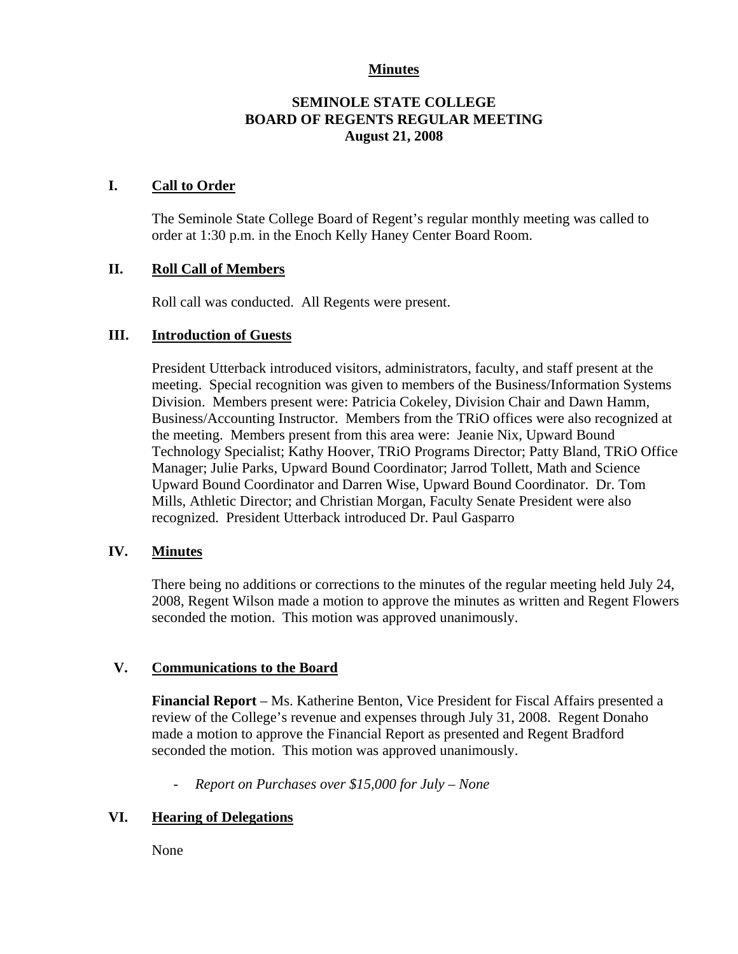## **Minutes**

## **SEMINOLE STATE COLLEGE BOARD OF REGENTS REGULAR MEETING August 21, 2008**

## **I. Call to Order**

The Seminole State College Board of Regent's regular monthly meeting was called to order at 1:30 p.m. in the Enoch Kelly Haney Center Board Room.

## **II. Roll Call of Members**

Roll call was conducted. All Regents were present.

#### **III. Introduction of Guests**

President Utterback introduced visitors, administrators, faculty, and staff present at the meeting. Special recognition was given to members of the Business/Information Systems Division. Members present were: Patricia Cokeley, Division Chair and Dawn Hamm, Business/Accounting Instructor. Members from the TRiO offices were also recognized at the meeting. Members present from this area were: Jeanie Nix, Upward Bound Technology Specialist; Kathy Hoover, TRiO Programs Director; Patty Bland, TRiO Office Manager; Julie Parks, Upward Bound Coordinator; Jarrod Tollett, Math and Science Upward Bound Coordinator and Darren Wise, Upward Bound Coordinator. Dr. Tom Mills, Athletic Director; and Christian Morgan, Faculty Senate President were also recognized. President Utterback introduced Dr. Paul Gasparro

#### **IV. Minutes**

There being no additions or corrections to the minutes of the regular meeting held July 24, 2008, Regent Wilson made a motion to approve the minutes as written and Regent Flowers seconded the motion. This motion was approved unanimously.

#### **V. Communications to the Board**

**Financial Report** – Ms. Katherine Benton, Vice President for Fiscal Affairs presented a review of the College's revenue and expenses through July 31, 2008. Regent Donaho made a motion to approve the Financial Report as presented and Regent Bradford seconded the motion. This motion was approved unanimously.

- *Report on Purchases over \$15,000 for July – None* 

#### **VI. Hearing of Delegations**

None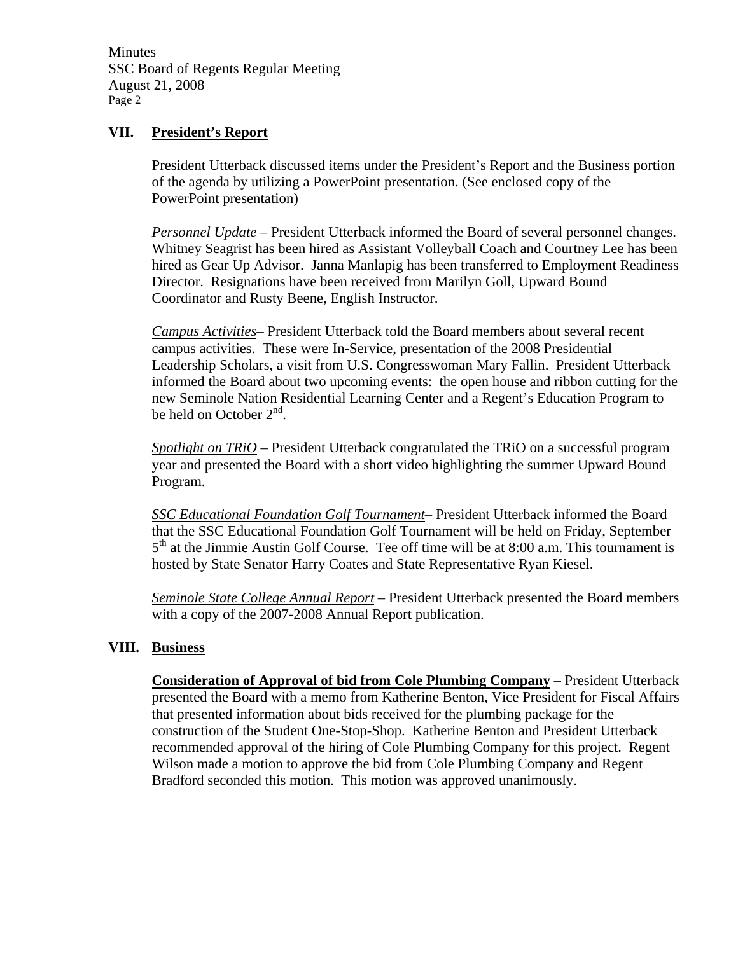Minutes SSC Board of Regents Regular Meeting August 21, 2008 Page 2

## **VII. President's Report**

President Utterback discussed items under the President's Report and the Business portion of the agenda by utilizing a PowerPoint presentation. (See enclosed copy of the PowerPoint presentation)

*Personnel Update* – President Utterback informed the Board of several personnel changes. Whitney Seagrist has been hired as Assistant Volleyball Coach and Courtney Lee has been hired as Gear Up Advisor. Janna Manlapig has been transferred to Employment Readiness Director. Resignations have been received from Marilyn Goll, Upward Bound Coordinator and Rusty Beene, English Instructor.

*Campus Activities*– President Utterback told the Board members about several recent campus activities. These were In-Service, presentation of the 2008 Presidential Leadership Scholars, a visit from U.S. Congresswoman Mary Fallin. President Utterback informed the Board about two upcoming events: the open house and ribbon cutting for the new Seminole Nation Residential Learning Center and a Regent's Education Program to be held on October  $2<sup>nd</sup>$ .

*Spotlight on TRiO* – President Utterback congratulated the TRiO on a successful program year and presented the Board with a short video highlighting the summer Upward Bound Program.

*SSC Educational Foundation Golf Tournament*– President Utterback informed the Board that the SSC Educational Foundation Golf Tournament will be held on Friday, September  $5<sup>th</sup>$  at the Jimmie Austin Golf Course. Tee off time will be at 8:00 a.m. This tournament is hosted by State Senator Harry Coates and State Representative Ryan Kiesel.

*Seminole State College Annual Report* – President Utterback presented the Board members with a copy of the 2007-2008 Annual Report publication.

#### **VIII. Business**

**Consideration of Approval of bid from Cole Plumbing Company** – President Utterback presented the Board with a memo from Katherine Benton, Vice President for Fiscal Affairs that presented information about bids received for the plumbing package for the construction of the Student One-Stop-Shop. Katherine Benton and President Utterback recommended approval of the hiring of Cole Plumbing Company for this project. Regent Wilson made a motion to approve the bid from Cole Plumbing Company and Regent Bradford seconded this motion. This motion was approved unanimously.